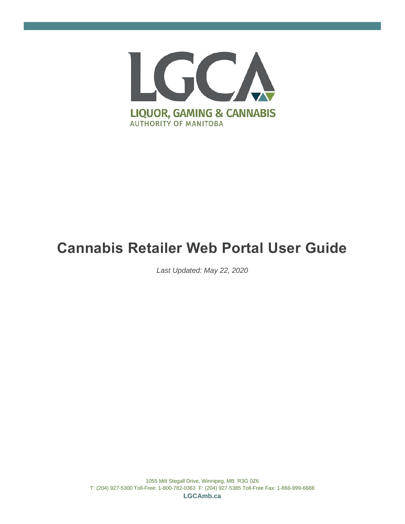

# **Cannabis Retailer Web Portal User Guide**

*Last Updated: May 22, 2020*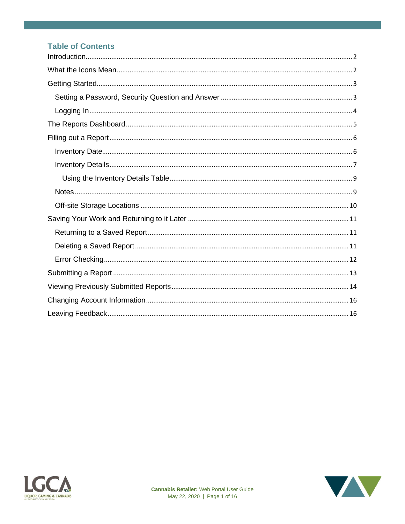### **Table of Contents**



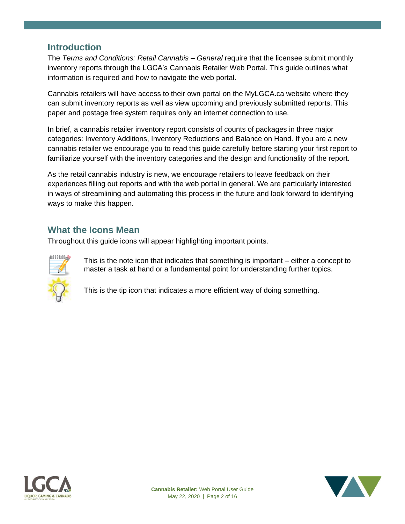### <span id="page-2-0"></span>**Introduction**

The *Terms and Conditions: Retail Cannabis – General* require that the licensee submit monthly inventory reports through the LGCA's Cannabis Retailer Web Portal. This guide outlines what information is required and how to navigate the web portal.

Cannabis retailers will have access to their own portal on the MyLGCA.ca website where they can submit inventory reports as well as view upcoming and previously submitted reports. This paper and postage free system requires only an internet connection to use.

In brief, a cannabis retailer inventory report consists of counts of packages in three major categories: Inventory Additions, Inventory Reductions and Balance on Hand. If you are a new cannabis retailer we encourage you to read this guide carefully before starting your first report to familiarize yourself with the inventory categories and the design and functionality of the report.

As the retail cannabis industry is new, we encourage retailers to leave feedback on their experiences filling out reports and with the web portal in general. We are particularly interested in ways of streamlining and automating this process in the future and look forward to identifying ways to make this happen.

# <span id="page-2-1"></span>**What the Icons Mean**

Throughout this guide icons will appear highlighting important points.



This is the note icon that indicates that something is important – either a concept to master a task at hand or a fundamental point for understanding further topics.

This is the tip icon that indicates a more efficient way of doing something.



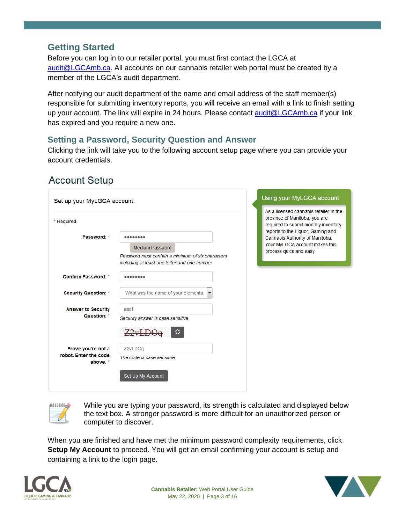# <span id="page-3-0"></span>**Getting Started**

Before you can log in to our retailer portal, you must first contact the LGCA at [audit@LGCAmb.ca.](mailto:audit@LGCAmb.ca) All accounts on our cannabis retailer web portal must be created by a member of the LGCA's audit department.

After notifying our audit department of the name and email address of the staff member(s) responsible for submitting inventory reports, you will receive an email with a link to finish setting up your account. The link will expire in 24 hours. Please contact [audit@LGCAmb.ca](mailto:audit@LGCAmb.ca) if your link has expired and you require a new one.

### <span id="page-3-1"></span>**Setting a Password, Security Question and Answer**

Clicking the link will take you to the following account setup page where you can provide your account credentials.

| Set up your MyLGCA account.       |                                                                                                    | Using your MyLGCA account                                                                                                                            |
|-----------------------------------|----------------------------------------------------------------------------------------------------|------------------------------------------------------------------------------------------------------------------------------------------------------|
| * Required.                       |                                                                                                    | As a licensed cannabis retailer in the<br>province of Manitoba, you are<br>required to submit monthly inventory<br>reports to the Liquor, Gaming and |
| Password: *                       |                                                                                                    | Cannabis Authority of Manitoba.                                                                                                                      |
|                                   | <b>Medium Password</b>                                                                             | Your MyLGCA account makes this<br>process quick and easy.                                                                                            |
|                                   | Password must contain a minimum of six characters<br>including at least one letter and one number. |                                                                                                                                                      |
| <b>Confirm Password: *</b>        |                                                                                                    |                                                                                                                                                      |
| <b>Security Question: *</b>       | What was the name of your elementa<br>$\blacktriangledown$                                         |                                                                                                                                                      |
| <b>Answer to Security</b>         | asdf                                                                                               |                                                                                                                                                      |
| Question: *                       | Security answer is case sensitive.                                                                 |                                                                                                                                                      |
|                                   | c<br>$2v+1$                                                                                        |                                                                                                                                                      |
| Prove you're not a                | Z2vLDOg                                                                                            |                                                                                                                                                      |
| robot. Enter the code<br>above. * | The code is case sensitive.                                                                        |                                                                                                                                                      |
|                                   | Set Up My Account                                                                                  |                                                                                                                                                      |
|                                   |                                                                                                    |                                                                                                                                                      |

# **Account Setup**



While you are typing your password, its strength is calculated and displayed below the text box. A stronger password is more difficult for an unauthorized person or computer to discover.

When you are finished and have met the minimum password complexity requirements, click **Setup My Account** to proceed. You will get an email confirming your account is setup and containing a link to the login page.



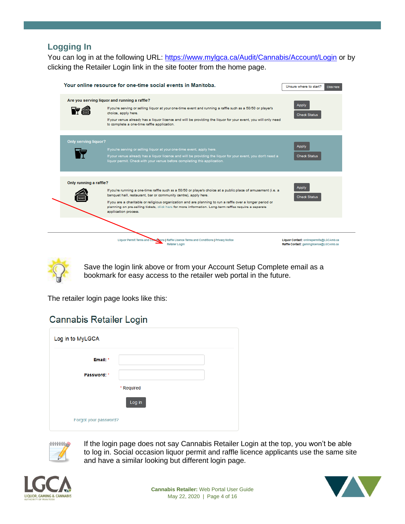### <span id="page-4-0"></span>**Logging In**

You can log in at the following URL:<https://www.mylgca.ca/Audit/Cannabis/Account/Login> or by clicking the Retailer Login link in the site footer from the home page.

|                        | Your online resource for one-time social events in Manitoba.                                                                                                                                                                                                                                                                                                                                                                     | Unsure where to start?<br><b>Click Here</b>                                        |
|------------------------|----------------------------------------------------------------------------------------------------------------------------------------------------------------------------------------------------------------------------------------------------------------------------------------------------------------------------------------------------------------------------------------------------------------------------------|------------------------------------------------------------------------------------|
| 守合                     | Are you serving liquor and running a raffle?<br>If you're serving or selling liquor at your one-time event and running a raffle such as a 50/50 or player's<br>choice, apply here.<br>If your venue already has a liquor licence and will be providing the liquor for your event, you will only need<br>to complete a one-time raffle application.                                                                               | Apply<br><b>Check Status</b>                                                       |
| Only serving liquor?   | If you're serving or selling liquor at your one-time event, apply here.<br>If your venue already has a liquor licence and will be providing the liquor for your event, you don't need a<br>liquor permit. Check with your venue before completing this application.                                                                                                                                                              | Apply<br><b>Check Status</b>                                                       |
| Only running a raffle? | If you're running a one-time raffle such as a 50/50 or player's choice at a public place of amusement (i.e. a<br>banquet hall, restaurant, bar or community centre), apply here.<br>If you are a charitable or religious organization and are planning to run a raffle over a longer period or<br>planning on pre-selling tickets, click here for more information. Long-term raffles require a separate<br>application process. | Apply<br><b>Check Status</b>                                                       |
|                        | Liquor Permit Terms and Conditions   Raffle Licence Terms and Conditions   Privacy Notice<br><b>Retaller Login</b>                                                                                                                                                                                                                                                                                                               | Liquor Contact: onlinepermits@LGCAmb.ca<br>Raffle Contact: gaminglicence@LGCAmb.ca |

Save the login link above or from your Account Setup Complete email as a bookmark for easy access to the retailer web portal in the future.

The retailer login page looks like this:

# **Cannabis Retailer Login**

| Log in to MyLGCA      |            |  |
|-----------------------|------------|--|
| Email: *              |            |  |
| Password: *           |            |  |
|                       | * Required |  |
|                       | Log in     |  |
| Forgot your password? |            |  |



If the login page does not say Cannabis Retailer Login at the top, you won't be able to log in. Social occasion liquor permit and raffle licence applicants use the same site and have a similar looking but different login page.



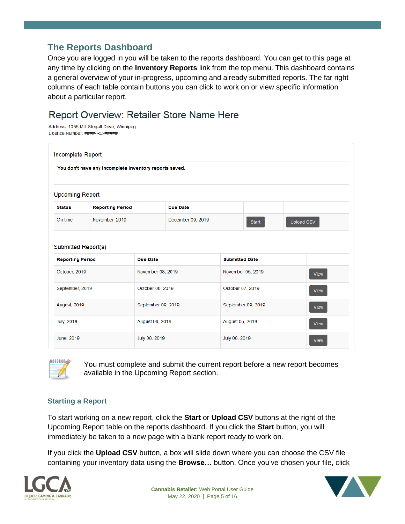# <span id="page-5-0"></span>**The Reports Dashboard**

Once you are logged in you will be taken to the reports dashboard. You can get to this page at any time by clicking on the **Inventory Reports** link from the top menu. This dashboard contains a general overview of your in-progress, upcoming and already submitted reports. The far right columns of each table contain buttons you can click to work on or view specific information about a particular report.

# Report Overview: Retailer Store Name Here

Address: 1055 Milt Stegall Drive, Winnipeg Licence Number: ####-RC-#####

| Incomplete Report      |                                                                     |                    |                   |                  |                    |            |             |
|------------------------|---------------------------------------------------------------------|--------------------|-------------------|------------------|--------------------|------------|-------------|
|                        | You don't have any incomplete inventory reports saved.              |                    |                   |                  |                    |            |             |
| <b>Upcoming Report</b> |                                                                     |                    |                   |                  |                    |            |             |
| <b>Status</b>          | <b>Reporting Period</b>                                             |                    | Due Date          |                  |                    |            |             |
| On time                | November, 2019                                                      |                    | December 09, 2019 |                  | Start              | Upload CSV |             |
|                        | Submitted Report(s)                                                 |                    |                   |                  |                    |            |             |
|                        | <b>Reporting Period</b><br><b>Due Date</b><br><b>Submitted Date</b> |                    |                   |                  |                    |            |             |
| October, 2019          |                                                                     | November 08, 2019  |                   |                  | November 05, 2019  |            | <b>View</b> |
| September, 2019        |                                                                     | October 08, 2019   |                   | October 07, 2019 |                    |            | <b>View</b> |
| August, 2019           |                                                                     | September 09, 2019 |                   |                  | September 09, 2019 |            | <b>View</b> |
| <b>July, 2019</b>      |                                                                     | August 08, 2019    |                   | August 05, 2019  |                    |            | <b>View</b> |
| June, 2019             |                                                                     | July 08, 2019      |                   | July 08, 2019    |                    |            | <b>View</b> |



You must complete and submit the current report before a new report becomes available in the Upcoming Report section.

### **Starting a Report**

To start working on a new report, click the **Start** or **Upload CSV** buttons at the right of the Upcoming Report table on the reports dashboard. If you click the **Start** button, you will immediately be taken to a new page with a blank report ready to work on.

If you click the **Upload CSV** button, a box will slide down where you can choose the CSV file containing your inventory data using the **Browse…** button. Once you've chosen your file, click



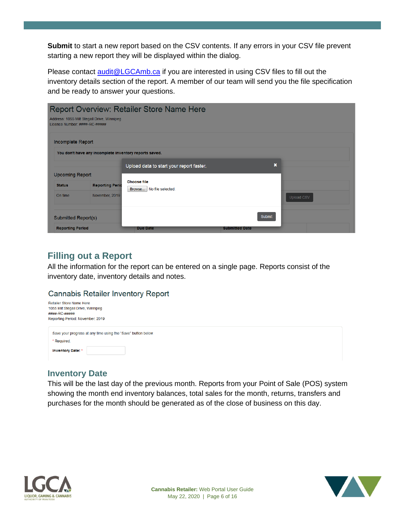**Submit** to start a new report based on the CSV contents. If any errors in your CSV file prevent starting a new report they will be displayed within the dialog.

Please contact **[audit@LGCAmb.ca](mailto:audit@LGCAmb.ca)** if you are interested in using CSV files to fill out the inventory details section of the report. A member of our team will send you the file specification and be ready to answer your questions.

| <b>Report Overview: Retailer Store Name Here</b><br>Address: 1055 Milt Stegall Drive, Winnipeg<br>Licence Number: ####-RC-##### |                                                        |                                                |                       |                           |                   |
|---------------------------------------------------------------------------------------------------------------------------------|--------------------------------------------------------|------------------------------------------------|-----------------------|---------------------------|-------------------|
| Incomplete Report                                                                                                               |                                                        |                                                |                       |                           |                   |
|                                                                                                                                 | You don't have any incomplete inventory reports saved. | Upload data to start your report faster.       |                       | $\boldsymbol{\mathsf{x}}$ |                   |
| <b>Status</b><br>On time                                                                                                        | <b>Reporting Peric</b><br>November, 2019               | <b>Choose file</b><br>Browse No file selected. |                       |                           | <b>Upload CSV</b> |
| Submitted Report(s)                                                                                                             |                                                        |                                                |                       | Submit                    |                   |
| <b>Upcoming Report</b><br><b>Reporting Period</b>                                                                               |                                                        | <b>Due Date</b>                                | <b>Submitted Date</b> |                           |                   |

# <span id="page-6-0"></span>**Filling out a Report**

All the information for the report can be entered on a single page. Reports consist of the inventory date, inventory details and notes.

#### **Cannabis Retailer Inventory Report**

| <b>Retailer Store Name Here</b>   |
|-----------------------------------|
| 1055 Milt Stegall Drive, Winnipeg |
| ####-RC-#####                     |
| Reporting Period: November, 2019  |
|                                   |
|                                   |

| Save your progress at any time using the "Save" button below |  |
|--------------------------------------------------------------|--|
| * Required.                                                  |  |
| <b>Inventory Date: *</b>                                     |  |

### <span id="page-6-1"></span>**Inventory Date**

This will be the last day of the previous month. Reports from your Point of Sale (POS) system showing the month end inventory balances, total sales for the month, returns, transfers and purchases for the month should be generated as of the close of business on this day.



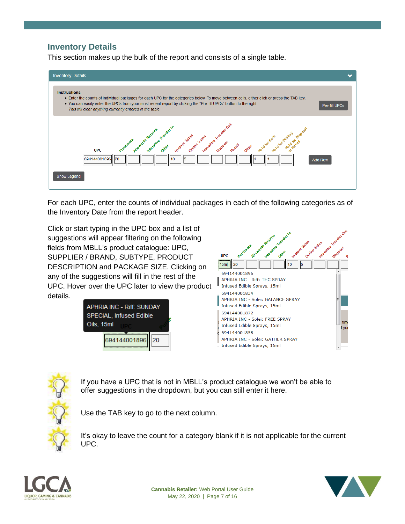### <span id="page-7-0"></span>**Inventory Details**

This section makes up the bulk of the report and consists of a single table.



For each UPC, enter the counts of individual packages in each of the following categories as of the Inventory Date from the report header.

Click or start typing in the UPC box and a list of suggestions will appear filtering on the following fields from MBLL's product catalogue: UPC, SUPPLIER / BRAND, SUBTYPE, PRODUCT DESCRIPTION and PACKAGE SIZE. Clicking on any of the suggestions will fill in the rest of the UPC. Hover over the UPC later to view the product details.







If you have a UPC that is not in MBLL's product catalogue we won't be able to offer suggestions in the dropdown, but you can still enter it here.

Use the TAB key to go to the next column.

It's okay to leave the count for a category blank if it is not applicable for the current UPC.



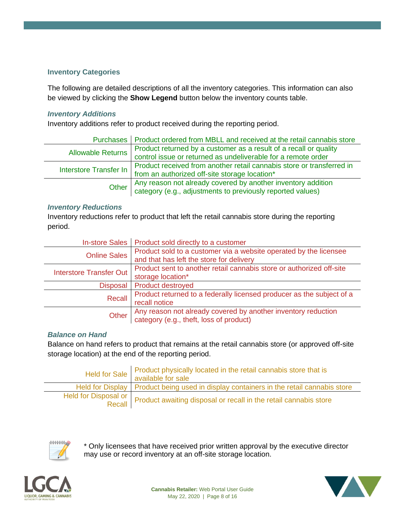#### **Inventory Categories**

The following are detailed descriptions of all the inventory categories. This information can also be viewed by clicking the **Show Legend** button below the inventory counts table.

#### *Inventory Additions*

Inventory additions refer to product received during the reporting period.

|                          | Purchases   Product ordered from MBLL and received at the retail cannabis store                                                  |
|--------------------------|----------------------------------------------------------------------------------------------------------------------------------|
| <b>Allowable Returns</b> | Product returned by a customer as a result of a recall or quality                                                                |
|                          | control issue or returned as undeliverable for a remote order                                                                    |
|                          | Product received from another retail cannabis store or transferred in                                                            |
|                          | Interstore Transfer In   Friends Reserved to the Storage location*                                                               |
|                          |                                                                                                                                  |
|                          | Other Any reason not already covered by another inventory addition<br>Category (e.g., adjustments to previously reported values) |

#### *Inventory Reductions*

Inventory reductions refer to product that left the retail cannabis store during the reporting period.

| <b>In-store Sales</b>          | Product sold directly to a customer                                                                           |
|--------------------------------|---------------------------------------------------------------------------------------------------------------|
| <b>Online Sales</b>            | Product sold to a customer via a website operated by the licensee<br>and that has left the store for delivery |
|                                | Product sent to another retail cannabis store or authorized off-site                                          |
| <b>Interstore Transfer Out</b> | storage location*                                                                                             |
| <b>Disposal</b>                | Product destroyed                                                                                             |
| Recall                         | Product returned to a federally licensed producer as the subject of a<br>recall notice                        |
| Other                          | Any reason not already covered by another inventory reduction<br>category (e.g., theft, loss of product)      |

#### *Balance on Hand*

Balance on hand refers to product that remains at the retail cannabis store (or approved off-site storage location) at the end of the reporting period.

| Held for Sale Product physically located in the retail cannabis store that is<br>available for sale |
|-----------------------------------------------------------------------------------------------------|
| Held for Display   Product being used in display containers in the retail cannabis store            |
| Held for Disposal or Product awaiting disposal or recall in the retail cannabis store               |



\* Only licensees that have received prior written approval by the executive director may use or record inventory at an off-site storage location.





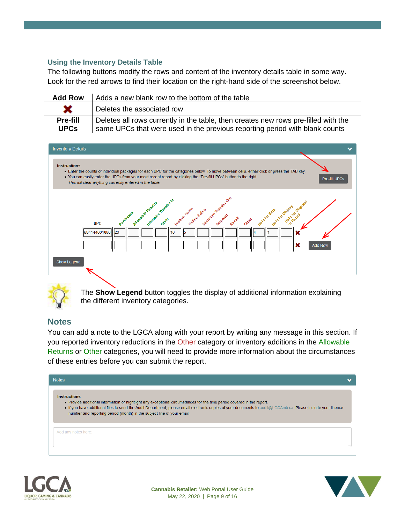#### <span id="page-9-0"></span>**Using the Inventory Details Table**

The following buttons modify the rows and content of the inventory details table in some way. Look for the red arrows to find their location on the right-hand side of the screenshot below.

| <b>Add Row</b>                 | Adds a new blank row to the bottom of the table                                                                                                                   |
|--------------------------------|-------------------------------------------------------------------------------------------------------------------------------------------------------------------|
| ×                              | Deletes the associated row                                                                                                                                        |
| <b>Pre-fill</b><br><b>UPCs</b> | Deletes all rows currently in the table, then creates new rows pre-filled with the<br>same UPCs that were used in the previous reporting period with blank counts |





The **Show Legend** button toggles the display of additional information explaining the different inventory categories.

### <span id="page-9-1"></span>**Notes**

You can add a note to the LGCA along with your report by writing any message in this section. If you reported inventory reductions in the Other category or inventory additions in the Allowable Returns or Other categories, you will need to provide more information about the circumstances of these entries before you can submit the report.



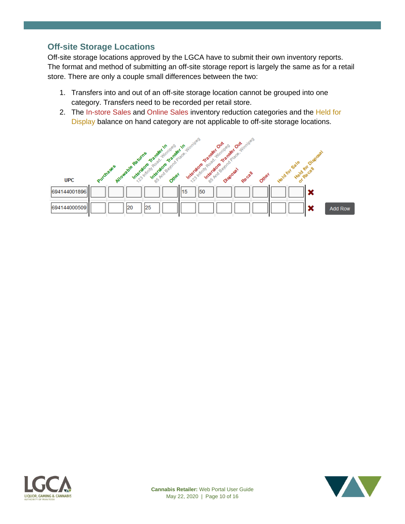### <span id="page-10-0"></span>**Off-site Storage Locations**

Off-site storage locations approved by the LGCA have to submit their own inventory reports. The format and method of submitting an off-site storage report is largely the same as for a retail store. There are only a couple small differences between the two:

- 1. Transfers into and out of an off-site storage location cannot be grouped into one category. Transfers need to be recorded per retail store.
- 2. The In-store Sales and Online Sales inventory reduction categories and the Held for Display balance on hand category are not applicable to off-site storage locations.





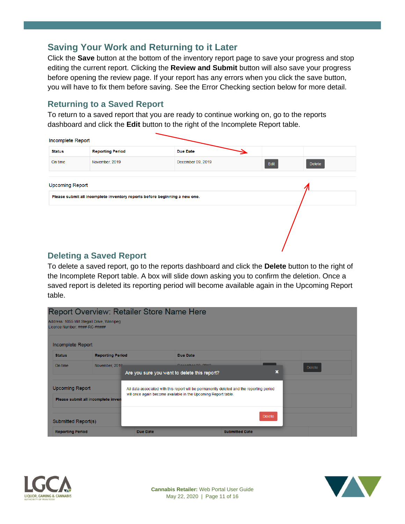# <span id="page-11-0"></span>**Saving Your Work and Returning to it Later**

Click the **Save** button at the bottom of the inventory report page to save your progress and stop editing the current report. Clicking the **Review and Submit** button will also save your progress before opening the review page. If your report has any errors when you click the save button, you will have to fix them before saving. See the Error Checking section below for more detail.

### <span id="page-11-1"></span>**Returning to a Saved Report**

To return to a saved report that you are ready to continue working on, go to the reports dashboard and click the **Edit** button to the right of the Incomplete Report table.

| Incomplete Report      |                                                                            |                   |                       |  |  |
|------------------------|----------------------------------------------------------------------------|-------------------|-----------------------|--|--|
| <b>Status</b>          | <b>Reporting Period</b>                                                    | <b>Due Date</b>   |                       |  |  |
| On time                | November, 2019                                                             | December 09, 2019 | Edit<br><b>Delete</b> |  |  |
| <b>Upcoming Report</b> |                                                                            |                   |                       |  |  |
|                        | Please submit all incomplete inventory reports before beginning a new one. |                   |                       |  |  |
|                        |                                                                            |                   |                       |  |  |
|                        |                                                                            |                   |                       |  |  |
|                        |                                                                            |                   |                       |  |  |
|                        |                                                                            |                   |                       |  |  |

### <span id="page-11-2"></span>**Deleting a Saved Report**

To delete a saved report, go to the reports dashboard and click the **Delete** button to the right of the Incomplete Report table. A box will slide down asking you to confirm the deletion. Once a saved report is deleted its reporting period will become available again in the Upcoming Report table.





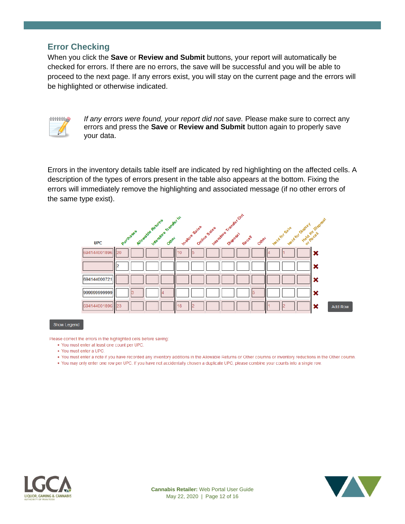### <span id="page-12-0"></span>**Error Checking**

When you click the **Save** or **Review and Submit** buttons, your report will automatically be checked for errors. If there are no errors, the save will be successful and you will be able to proceed to the next page. If any errors exist, you will stay on the current page and the errors will be highlighted or otherwise indicated.



*If any errors were found, your report did not save.* Please make sure to correct any errors and press the **Save** or **Review and Submit** button again to properly save your data.

Errors in the inventory details table itself are indicated by red highlighting on the affected cells. A description of the types of errors present in the table also appears at the bottom. Fixing the errors will immediately remove the highlighting and associated message (if no other errors of the same type exist).



Show Legend

Please correct the errors in the highlighted cells before saving:

- . You must enter at least one count per UPC.
- You must enter a UPC.
- . You must enter a note if you have recorded any inventory additions in the Allowable Returns or Other columns or inventory reductions in the Other column.
- You may only enter one row per UPC. If you have not accidentally chosen a duplicate UPC, please combine your counts into a single row.



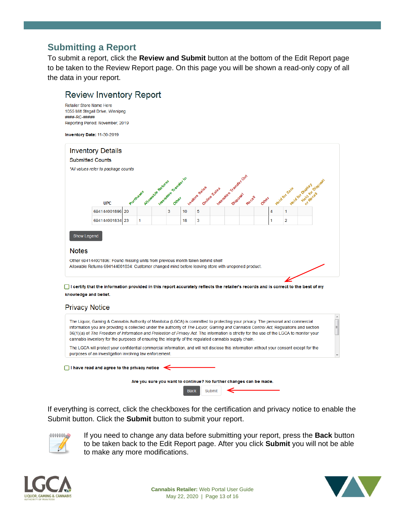# <span id="page-13-0"></span>**Submitting a Report**

To submit a report, click the **Review and Submit** button at the bottom of the Edit Report page to be taken to the Review Report page. On this page you will be shown a read-only copy of all the data in your report.

### **Review Inventory Report**

Retailer Store Name Here 1055 Milt Stegall Drive, Winnipeg ####-RC-##### Reporting Period: November, 2019

Inventory Date: 11-30-2019



□ I certify that the information provided in this report accurately reflects the retailer's records and is correct to the best of my knowledge and belief.

#### **Privacy Notice**



If everything is correct, click the checkboxes for the certification and privacy notice to enable the Submit button. Click the **Submit** button to submit your report.



If you need to change any data before submitting your report, press the **Back** button to be taken back to the Edit Report page. After you click **Submit** you will not be able to make any more modifications.



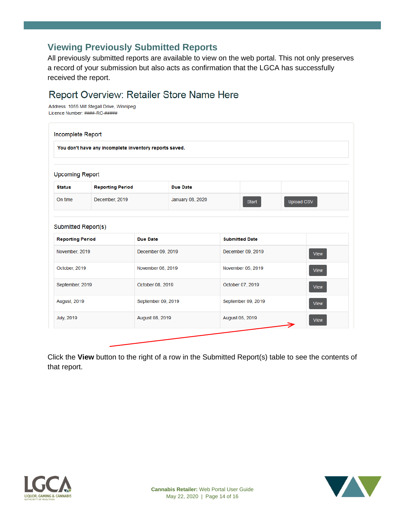# <span id="page-14-0"></span>**Viewing Previously Submitted Reports**

All previously submitted reports are available to view on the web portal. This not only preserves a record of your submission but also acts as confirmation that the LGCA has successfully received the report.

# Report Overview: Retailer Store Name Here

Address: 1055 Milt Stegall Drive, Winnipeg Licence Number: ####-RC-#####

| Incomplete Report                                      |                         |                    |                  |                       |       |             |             |  |  |
|--------------------------------------------------------|-------------------------|--------------------|------------------|-----------------------|-------|-------------|-------------|--|--|
| You don't have any incomplete inventory reports saved. |                         |                    |                  |                       |       |             |             |  |  |
|                                                        |                         |                    |                  |                       |       |             |             |  |  |
| <b>Upcoming Report</b>                                 |                         |                    |                  |                       |       |             |             |  |  |
| <b>Status</b>                                          | <b>Reporting Period</b> |                    | <b>Due Date</b>  |                       |       |             |             |  |  |
| On time                                                | December, 2019          |                    | January 08, 2020 |                       | Start | Upload CSV  |             |  |  |
| Submitted Report(s)                                    |                         |                    |                  |                       |       |             |             |  |  |
| <b>Reporting Period</b>                                |                         | <b>Due Date</b>    |                  | <b>Submitted Date</b> |       |             |             |  |  |
| November, 2019                                         |                         | December 09, 2019  |                  | December 09, 2019     |       |             | <b>View</b> |  |  |
| October, 2019                                          |                         | November 08, 2019  |                  | November 05, 2019     |       |             | <b>View</b> |  |  |
| September, 2019                                        |                         | October 08, 2019   |                  | October 07, 2019      |       |             | <b>View</b> |  |  |
| August, 2019                                           |                         | September 09, 2019 |                  | September 09, 2019    |       | <b>View</b> |             |  |  |
| <b>July</b> , 2019                                     |                         | August 08, 2019    |                  | August 05, 2019       |       |             | <b>View</b> |  |  |
|                                                        |                         |                    |                  |                       |       |             |             |  |  |

Click the **View** button to the right of a row in the Submitted Report(s) table to see the contents of that report.



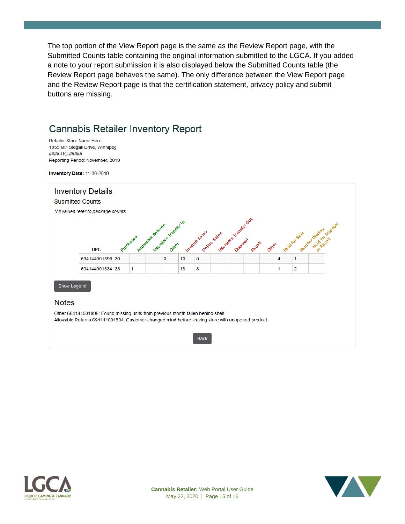The top portion of the View Report page is the same as the Review Report page, with the Submitted Counts table containing the original information submitted to the LGCA. If you added a note to your report submission it is also displayed below the Submitted Counts table (the Review Report page behaves the same). The only difference between the View Report page and the Review Report page is that the certification statement, privacy policy and submit buttons are missing.

# **Cannabis Retailer Inventory Report**

Retailer Store Name Here 1055 Milt Stegall Drive, Winnipeg ####-RC-##### Reporting Period: November, 2019

Inventory Date: 11-30-2019